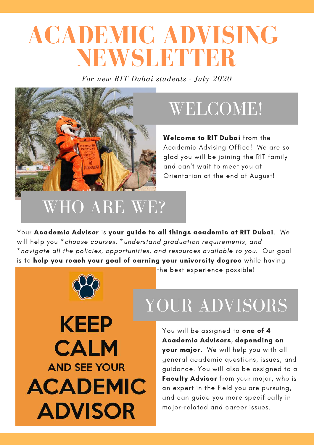# **ACADEMIC ADVISING NEWSLETTER**

*For new RIT Dubai students - July 2020*



#### WELCOME!

Welcome to RIT Dubai from the Academic Advising Office! We are so glad you will be joining the RIT family and can't wait to meet you at Orientation at the end of August!

#### WHO ARE WE?

Your Academic Advisor is your guide to all things academic at RIT Dubai. We will help you \*choose courses, \*understand graduation requirements, and \*navigate all the policies, opportunities, and resources available to you. Our goal is to help you reach your goal of earning your university degree while having



**KEEP CALM AND SEE YOUR ACADEMIC ADVISOR** 

the best experience possible!

## YOUR ADVISORS

You will be assigned to **one of 4** Academic Advisors, depending on your major. We will help you with all general academic questions, issues, and guidance. You will also be assigned to a Faculty Advisor from your major, who is an expert in the field you are pursuing, and can guide you more specifically in major-related and career issues.